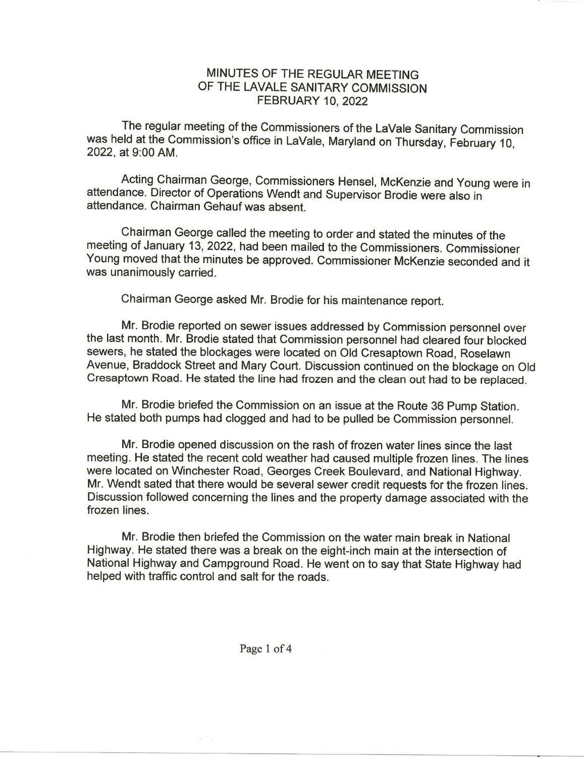## MINUTES OF THE REGULAR MEETING OF THE LAVALE SANITARY COMMISSION FEBRUARY 10, 2022

The regular meeting of the Commissioners of the LaVale Sanitary Commission was held at the Commission's office in LaVale, Maryland on Thursday, February 10, 2022, at 9:00AM.

Acting Chairman George, Commissioners Hensel, McKenzie and Young were in attendance. Director of Operations Wendt and Supervisor Brodie were also in attendance. Chairman Gehauf was absent.

Chairman George called the meeting to order and stated the minutes of the meeting of January 13, 2022, had been mailed to the Commissioners, Commissioner Young moved that the minutes be approved. Commissioner McKenzie seconded and it was unanimously carried.

Chairman George asked Mr. Brodie for his maintenance report.

Mr. Brodie reported on sewer issues addressed by Commission personnel over the last month. Mr. Brodie stated that Commission personnel had cleared four blocked sewers, he stated the blockages were located on Old Cresaptown Road, Roselawn Avenue, Braddock Street and Mary Court. Discussion continued on the blockage on Old Cresaptown Road. He stated the line had frozen and the clean out had to be replaced.

Mr. Brodie briefed the Commission on an issue at the Route 36 Pump Station. He stated both pumps had clogged and had to be pulled be Commission personnel.

Mr. Brodie opened discussion on the rash of frozen water lines since the last meeting. He stated the recent cold weather had caused multiple frozen lines. The lines were located on Winchester Road, Georges Creek Boulevard, and National Highway. Mr. Wendt sated that there would be several sewer credit requests for the frozen lines. Discussion followed concerning the lines and the property damage associated with the frozen lines.

Mr. Brodie then briefed the Commission on the water main break in National Highway. He stated there was a break on the eight-inch main at the intersection of National Highway and Campground Road. He went on to say that State Highway had helped with traffic control and salt for the roads.

Page 1 of 4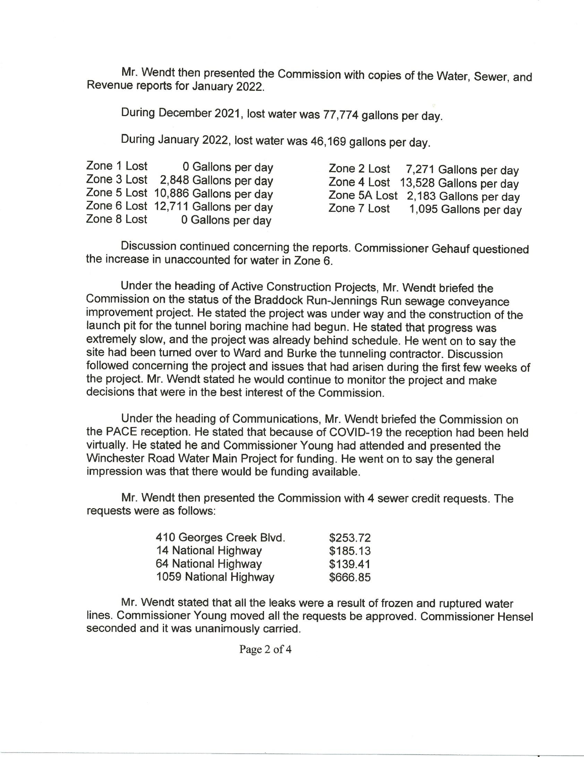Mr. Wendt then presented the Commission with copies of the Water, Sewer, and Revenue reports for January 2022.

During December 2021, lost water was 77,774 gallons per day.

During January 2022, lost water was 46,169 gallons per day.

| Zone 1 Lost | 0 Gallons per day                  | Zone 2 Lost 7,271 Gallons per day  |
|-------------|------------------------------------|------------------------------------|
|             | Zone 3 Lost 2,848 Gallons per day  | Zone 4 Lost 13,528 Gallons per day |
|             | Zone 5 Lost 10,886 Gallons per day | Zone 5A Lost 2,183 Gallons per day |
|             | Zone 6 Lost 12,711 Gallons per day | Zone 7 Lost 1,095 Gallons per day  |
| Zone 8 Lost | 0 Gallons per day                  |                                    |

Discussion continued concerning the reports. Commissioner Gehauf questioned the increase in unaccounted for water in Zone 6.

Under the heading of Active Construction Projects, Mr. Wendt briefed the Commission on the status of the Braddock Run-Jennings Run sewage conveyance improvement project. He stated the project was under way and the construction of the launch pit for the tunnel boring machine had begun. He stated that progress was extremely slow, and the project was already behind schedule. He went on to say the site had been tumed over to Ward and Burke the tunneling contractor. Discussion followed concerning the project and issues that had arisen during the first few weeks of the project. Mr. Wendt stated he would continue to monitor the project and make decisions that were in the best interest of the Commission.

Under the heading of Communications, Mr. Wendt briefed the Commission on the PACE reception. He stated that because of COVID-19 the reception had been held virtually. He stated he and Commissioner Young had attended and presented the Winchester Road Water Main Project for funding. He went on to say the general impression was that there would be funding available.

Mr. Wendt then presented the Commission with 4 sewer credit requests. The requests were as follows:

| \$253.72 |
|----------|
| \$185.13 |
| \$139.41 |
| \$666.85 |
|          |

Mr. Wendt stated that all the leaks were a result of frozen and ruptured water lines. Commissioner Young moved all the requests be approved. Commissioner Hensel seconded and it was unanimously carried.

Page 2 of 4